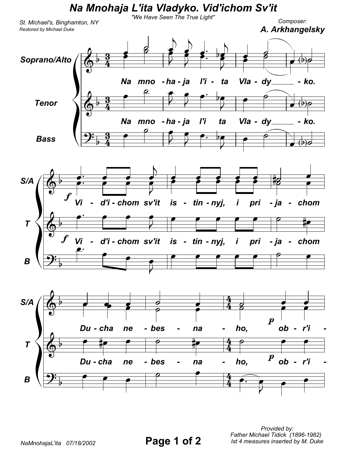

Provided by: Father Michael Tidick (1896-1962) Ist 4 measures inserted by M. Duke

Page 1 of 2